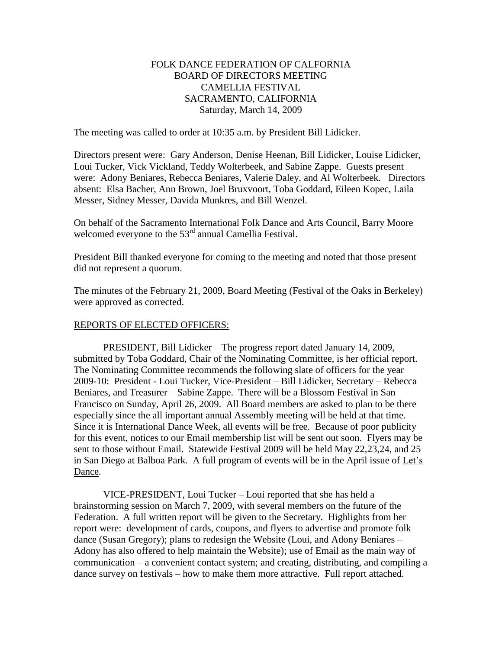# FOLK DANCE FEDERATION OF CALFORNIA BOARD OF DIRECTORS MEETING CAMELLIA FESTIVAL SACRAMENTO, CALIFORNIA Saturday, March 14, 2009

The meeting was called to order at 10:35 a.m. by President Bill Lidicker.

Directors present were: Gary Anderson, Denise Heenan, Bill Lidicker, Louise Lidicker, Loui Tucker, Vick Vickland, Teddy Wolterbeek, and Sabine Zappe. Guests present were: Adony Beniares, Rebecca Beniares, Valerie Daley, and Al Wolterbeek. Directors absent: Elsa Bacher, Ann Brown, Joel Bruxvoort, Toba Goddard, Eileen Kopec, Laila Messer, Sidney Messer, Davida Munkres, and Bill Wenzel.

On behalf of the Sacramento International Folk Dance and Arts Council, Barry Moore welcomed everyone to the 53<sup>rd</sup> annual Camellia Festival.

President Bill thanked everyone for coming to the meeting and noted that those present did not represent a quorum.

The minutes of the February 21, 2009, Board Meeting (Festival of the Oaks in Berkeley) were approved as corrected.

### REPORTS OF ELECTED OFFICERS:

PRESIDENT, Bill Lidicker – The progress report dated January 14, 2009, submitted by Toba Goddard, Chair of the Nominating Committee, is her official report. The Nominating Committee recommends the following slate of officers for the year 2009-10: President - Loui Tucker, Vice-President – Bill Lidicker, Secretary – Rebecca Beniares, and Treasurer – Sabine Zappe. There will be a Blossom Festival in San Francisco on Sunday, April 26, 2009. All Board members are asked to plan to be there especially since the all important annual Assembly meeting will be held at that time. Since it is International Dance Week, all events will be free. Because of poor publicity for this event, notices to our Email membership list will be sent out soon. Flyers may be sent to those without Email. Statewide Festival 2009 will be held May 22,23,24, and 25 in San Diego at Balboa Park. A full program of events will be in the April issue of Let's Dance.

VICE-PRESIDENT, Loui Tucker – Loui reported that she has held a brainstorming session on March 7, 2009, with several members on the future of the Federation. A full written report will be given to the Secretary. Highlights from her report were: development of cards, coupons, and flyers to advertise and promote folk dance (Susan Gregory); plans to redesign the Website (Loui, and Adony Beniares – Adony has also offered to help maintain the Website); use of Email as the main way of communication – a convenient contact system; and creating, distributing, and compiling a dance survey on festivals – how to make them more attractive. Full report attached.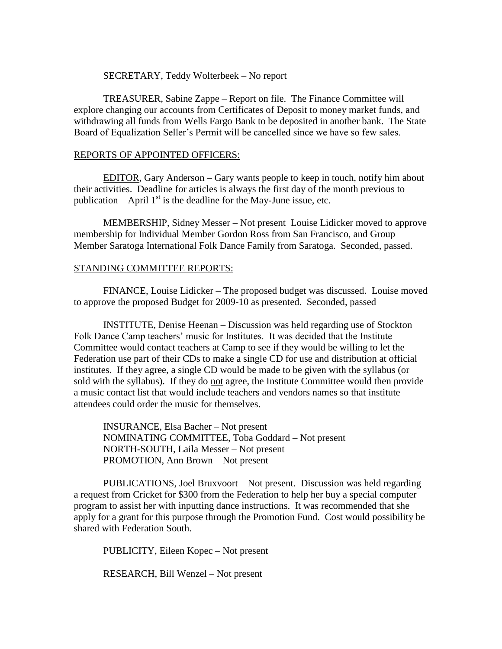#### SECRETARY, Teddy Wolterbeek – No report

TREASURER, Sabine Zappe – Report on file. The Finance Committee will explore changing our accounts from Certificates of Deposit to money market funds, and withdrawing all funds from Wells Fargo Bank to be deposited in another bank. The State Board of Equalization Seller's Permit will be cancelled since we have so few sales.

#### REPORTS OF APPOINTED OFFICERS:

EDITOR, Gary Anderson – Gary wants people to keep in touch, notify him about their activities. Deadline for articles is always the first day of the month previous to publication – April  $1<sup>st</sup>$  is the deadline for the May-June issue, etc.

MEMBERSHIP, Sidney Messer – Not present Louise Lidicker moved to approve membership for Individual Member Gordon Ross from San Francisco, and Group Member Saratoga International Folk Dance Family from Saratoga. Seconded, passed.

#### STANDING COMMITTEE REPORTS:

FINANCE, Louise Lidicker – The proposed budget was discussed. Louise moved to approve the proposed Budget for 2009-10 as presented. Seconded, passed

INSTITUTE, Denise Heenan – Discussion was held regarding use of Stockton Folk Dance Camp teachers' music for Institutes. It was decided that the Institute Committee would contact teachers at Camp to see if they would be willing to let the Federation use part of their CDs to make a single CD for use and distribution at official institutes. If they agree, a single CD would be made to be given with the syllabus (or sold with the syllabus). If they do not agree, the Institute Committee would then provide a music contact list that would include teachers and vendors names so that institute attendees could order the music for themselves.

INSURANCE, Elsa Bacher – Not present NOMINATING COMMITTEE, Toba Goddard – Not present NORTH-SOUTH, Laila Messer – Not present PROMOTION, Ann Brown – Not present

PUBLICATIONS, Joel Bruxvoort – Not present. Discussion was held regarding a request from Cricket for \$300 from the Federation to help her buy a special computer program to assist her with inputting dance instructions. It was recommended that she apply for a grant for this purpose through the Promotion Fund. Cost would possibility be shared with Federation South.

PUBLICITY, Eileen Kopec – Not present

RESEARCH, Bill Wenzel – Not present